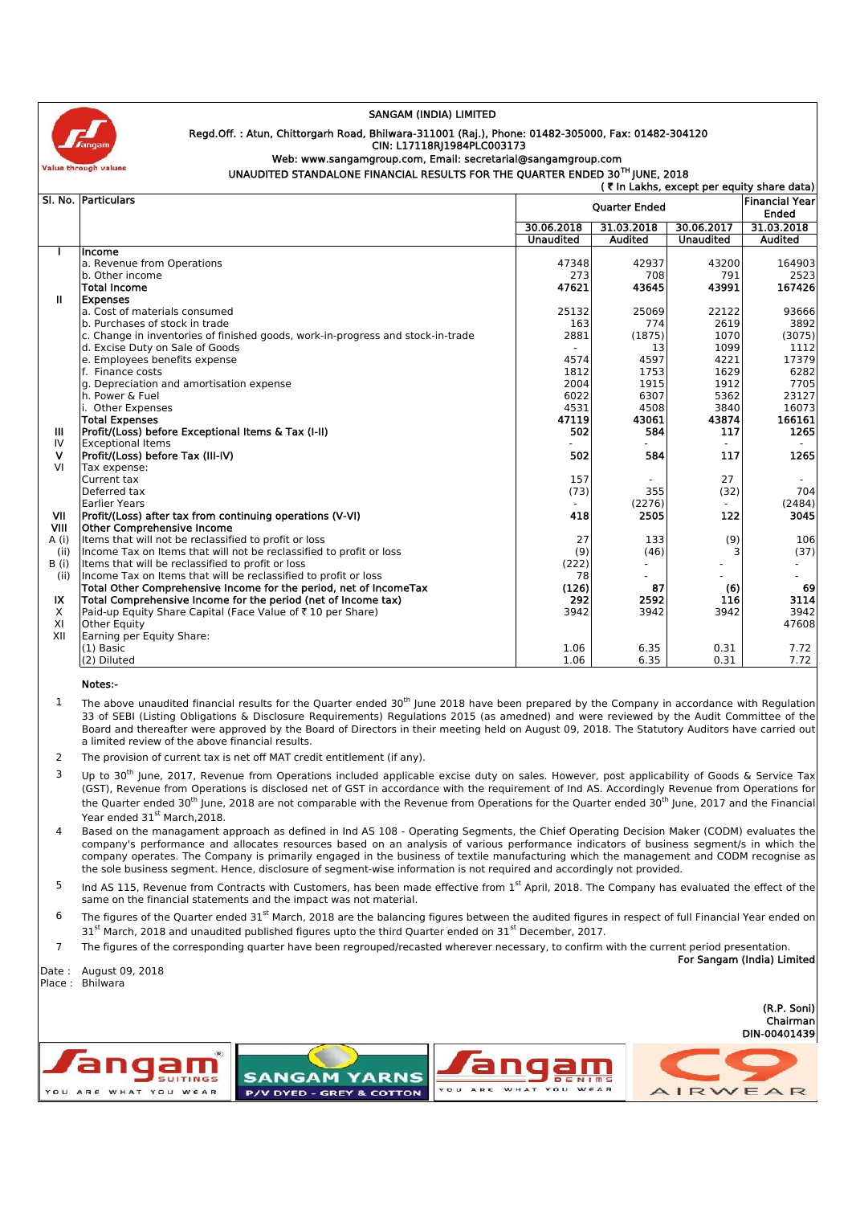

## **SANGAM (INDIA) LIMITED**

## **Regd.Off. : Atun, Chittorgarh Road, Bhilwara-311001 (Raj.), Phone: 01482-305000, Fax: 01482-304120 CIN: L17118RJ1984PLC003173**

## **UNAUDITED STANDALONE FINANCIAL RESULTS FOR THE QUARTER ENDED 30TH JUNE, 2018 Web: www.sangamgroup.com, Email: secretarial@sangamgroup.com**

|              | SI, No. Particulars                                                             | <b>Ouarter Ended</b> |            |                                | <b>Financial Year</b><br>Ended |  |
|--------------|---------------------------------------------------------------------------------|----------------------|------------|--------------------------------|--------------------------------|--|
|              |                                                                                 | 30.06.2018           | 31.03.2018 | 30.06.2017<br><b>Unaudited</b> | 31.03.2018<br><b>Audited</b>   |  |
|              |                                                                                 | <b>Unaudited</b>     | Audited    |                                |                                |  |
|              | Income                                                                          |                      |            |                                |                                |  |
|              | a. Revenue from Operations                                                      | 47348                | 42937      | 43200                          | 164903                         |  |
|              | b. Other income                                                                 | 273                  | 708        | 791                            | 2523                           |  |
|              | <b>Total Income</b>                                                             | 47621                | 43645      | 43991                          | 167426                         |  |
| $\mathbf{u}$ | <b>Expenses</b>                                                                 |                      |            |                                |                                |  |
|              | a. Cost of materials consumed                                                   | 25132                | 25069      | 22122                          | 93666                          |  |
|              | b. Purchases of stock in trade                                                  | 163                  | 774        | 2619                           | 3892                           |  |
|              | c. Change in inventories of finished goods, work-in-progress and stock-in-trade | 2881                 | (1875)     | 1070                           | (3075)                         |  |
|              | d. Excise Duty on Sale of Goods                                                 |                      | 13         | 1099                           | 1112                           |  |
|              | e. Employees benefits expense                                                   | 4574                 | 4597       | 4221                           | 17379                          |  |
|              | f. Finance costs                                                                | 1812                 | 1753       | 1629                           | 6282                           |  |
|              | g. Depreciation and amortisation expense                                        | 2004                 | 1915       | 1912                           | 7705                           |  |
|              | h. Power & Fuel                                                                 | 6022                 | 6307       | 5362                           | 23127                          |  |
|              | i. Other Expenses                                                               | 4531                 | 4508       | 3840                           | 16073                          |  |
|              | <b>Total Expenses</b>                                                           | 47119                | 43061      | 43874                          | 166161                         |  |
| Ш            | Profit/(Loss) before Exceptional Items & Tax (I-II)                             | 502                  | 584        | 117                            | 1265                           |  |
| IV           | <b>Exceptional Items</b>                                                        |                      |            |                                |                                |  |
| v            | Profit/(Loss) before Tax (III-IV)                                               | 502                  | 584        | 117                            | 1265                           |  |
| VI           | Tax expense:                                                                    |                      |            |                                |                                |  |
|              | Current tax                                                                     | 157                  |            | 27                             |                                |  |
|              | Deferred tax                                                                    | (73)                 | 355        | (32)                           | 704                            |  |
|              | <b>Earlier Years</b>                                                            |                      | (2276)     |                                | (2484)                         |  |
| VII          | Profit/(Loss) after tax from continuing operations (V-VI)                       | 418                  | 2505       | 122                            | 3045                           |  |
| <b>VIII</b>  | <b>Other Comprehensive Income</b>                                               |                      |            |                                |                                |  |
| A(i)         | Items that will not be reclassified to profit or loss                           | 27                   | 133        | (9)                            | 106                            |  |
| (ii)         | Income Tax on Items that will not be reclassified to profit or loss             | (9)                  | (46)       |                                | (37)                           |  |
| <b>B</b> (i) | Items that will be reclassified to profit or loss                               | (222)                | ٠          |                                | ٠                              |  |
| (ii)         | Income Tax on Items that will be reclassified to profit or loss                 | 78                   |            |                                |                                |  |
|              | Total Other Comprehensive Income for the period, net of IncomeTax               | (126)                | 87         | (6)                            | 69                             |  |
| IX           | Total Comprehensive Income for the period (net of Income tax)                   | 292                  | 2592       | 116                            | 3114                           |  |
| X            | Paid-up Equity Share Capital (Face Value of ₹10 per Share)                      | 3942                 | 3942       | 3942                           | 3942                           |  |
| XI           | <b>Other Equity</b>                                                             |                      |            |                                | 47608                          |  |
| XII          | Earning per Equity Share:                                                       |                      |            |                                |                                |  |
|              | $(1)$ Basic                                                                     | 1.06                 | 6.35       | 0.31                           | 7.72                           |  |
|              | (2) Diluted                                                                     | 1.06                 | 6.35       | 0.31                           | 7.72                           |  |

- The above unaudited financial results for the Quarter ended 30<sup>th</sup> June 2018 have been prepared by the Company in accordance with Regulation 33 of SEBI (Listing Obligations & Disclosure Requirements) Regulations 2015 (as amedned) and were reviewed by the Audit Committee of the Board and thereafter were approved by the Board of Directors in their meeting held on August 09, 2018. The Statutory Auditors have carried out a limited review of the above financial results. 1
- 2 The provision of current tax is net off MAT credit entitlement (if any).
- $3$  Up to 30<sup>th</sup> June, 2017, Revenue from Operations included applicable excise duty on sales. However, post applicability of Goods & Service Tax (GST), Revenue from Operations is disclosed net of GST in accordance with the requirement of Ind AS. Accordingly Revenue from Operations for the Quarter ended 30<sup>th</sup> June, 2018 are not comparable with the Revenue from Operations for the Quarter ended 30<sup>th</sup> June, 2017 and the Financial Year ended 31<sup>st</sup> March, 2018.
- 4 Based on the managament approach as defined in Ind AS 108 Operating Segments, the Chief Operating Decision Maker (CODM) evaluates the company's performance and allocates resources based on an analysis of various performance indicators of business segment/s in which the company operates. The Company is primarily engaged in the business of textile manufacturing which the management and CODM recognise as the sole business segment. Hence, disclosure of segment-wise information is not required and accordingly not provided.
- <sup>5</sup> Ind AS 115, Revenue from Contracts with Customers, has been made effective from 1<sup>st</sup> April, 2018. The Company has evaluated the effect of the same on the financial statements and the impact was not material.
- <sup>6</sup> The figures of the Quarter ended 31<sup>st</sup> March, 2018 are the balancing figures between the audited figures in respect of full Financial Year ended on 31st March, 2018 and unaudited published figures upto the third Quarter ended on 31st December, 2017.
- 7 The figures of the corresponding quarter have been regrouped/recasted wherever necessary, to confirm with the current period presentation. **For Sangam (India) Limited**

Date : August 09, 2018 Place : Bhilwara